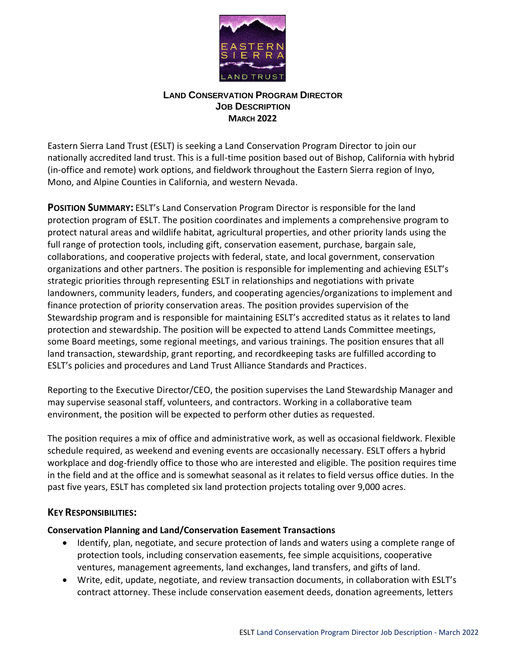

## **LAND CONSERVATION PROGRAM DIRECTOR JOB DESCRIPTION MARCH 2022**

Eastern Sierra Land Trust (ESLT) is seeking a Land Conservation Program Director to join our nationally accredited land trust. This is a full-time position based out of Bishop, California with hybrid (in-office and remote) work options, and fieldwork throughout the Eastern Sierra region of Inyo, Mono, and Alpine Counties in California, and western Nevada.

**POSITION SUMMARY:** ESLT's Land Conservation Program Director is responsible for the land protection program of ESLT. The position coordinates and implements a comprehensive program to protect natural areas and wildlife habitat, agricultural properties, and other priority lands using the full range of protection tools, including gift, conservation easement, purchase, bargain sale, collaborations, and cooperative projects with federal, state, and local government, conservation organizations and other partners. The position is responsible for implementing and achieving ESLT's strategic priorities through representing ESLT in relationships and negotiations with private landowners, community leaders, funders, and cooperating agencies/organizations to implement and finance protection of priority conservation areas. The position provides supervision of the Stewardship program and is responsible for maintaining ESLT's accredited status as it relates to land protection and stewardship. The position will be expected to attend Lands Committee meetings, some Board meetings, some regional meetings, and various trainings. The position ensures that all land transaction, stewardship, grant reporting, and recordkeeping tasks are fulfilled according to ESLT's policies and procedures and Land Trust Alliance Standards and Practices.

Reporting to the Executive Director/CEO, the position supervises the Land Stewardship Manager and may supervise seasonal staff, volunteers, and contractors. Working in a collaborative team environment, the position will be expected to perform other duties as requested.

The position requires a mix of office and administrative work, as well as occasional fieldwork. Flexible schedule required, as weekend and evening events are occasionally necessary. ESLT offers a hybrid workplace and dog-friendly office to those who are interested and eligible. The position requires time in the field and at the office and is somewhat seasonal as it relates to field versus office duties. In the past five years, ESLT has completed six land protection projects totaling over 9,000 acres.

## **KEY RESPONSIBILITIES:**

## **Conservation Planning and Land/Conservation Easement Transactions**

- Identify, plan, negotiate, and secure protection of lands and waters using a complete range of protection tools, including conservation easements, fee simple acquisitions, cooperative ventures, management agreements, land exchanges, land transfers, and gifts of land.
- Write, edit, update, negotiate, and review transaction documents, in collaboration with ESLT's contract attorney. These include conservation easement deeds, donation agreements, letters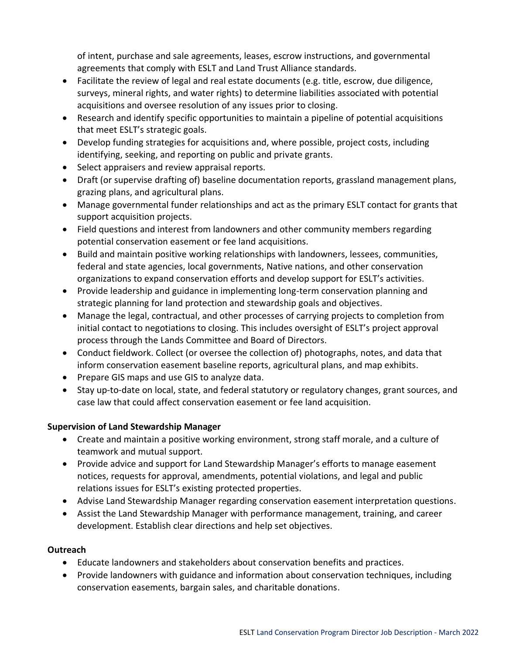of intent, purchase and sale agreements, leases, escrow instructions, and governmental agreements that comply with ESLT and Land Trust Alliance standards.

- Facilitate the review of legal and real estate documents (e.g. title, escrow, due diligence, surveys, mineral rights, and water rights) to determine liabilities associated with potential acquisitions and oversee resolution of any issues prior to closing.
- Research and identify specific opportunities to maintain a pipeline of potential acquisitions that meet ESLT's strategic goals.
- Develop funding strategies for acquisitions and, where possible, project costs, including identifying, seeking, and reporting on public and private grants.
- Select appraisers and review appraisal reports.
- Draft (or supervise drafting of) baseline documentation reports, grassland management plans, grazing plans, and agricultural plans.
- Manage governmental funder relationships and act as the primary ESLT contact for grants that support acquisition projects.
- Field questions and interest from landowners and other community members regarding potential conservation easement or fee land acquisitions.
- Build and maintain positive working relationships with landowners, lessees, communities, federal and state agencies, local governments, Native nations, and other conservation organizations to expand conservation efforts and develop support for ESLT's activities.
- Provide leadership and guidance in implementing long-term conservation planning and strategic planning for land protection and stewardship goals and objectives.
- Manage the legal, contractual, and other processes of carrying projects to completion from initial contact to negotiations to closing. This includes oversight of ESLT's project approval process through the Lands Committee and Board of Directors.
- Conduct fieldwork. Collect (or oversee the collection of) photographs, notes, and data that inform conservation easement baseline reports, agricultural plans, and map exhibits.
- Prepare GIS maps and use GIS to analyze data.
- Stay up-to-date on local, state, and federal statutory or regulatory changes, grant sources, and case law that could affect conservation easement or fee land acquisition.

# **Supervision of Land Stewardship Manager**

- Create and maintain a positive working environment, strong staff morale, and a culture of teamwork and mutual support.
- Provide advice and support for Land Stewardship Manager's efforts to manage easement notices, requests for approval, amendments, potential violations, and legal and public relations issues for ESLT's existing protected properties.
- Advise Land Stewardship Manager regarding conservation easement interpretation questions.
- Assist the Land Stewardship Manager with performance management, training, and career development. Establish clear directions and help set objectives.

## **Outreach**

- Educate landowners and stakeholders about conservation benefits and practices.
- Provide landowners with guidance and information about conservation techniques, including conservation easements, bargain sales, and charitable donations.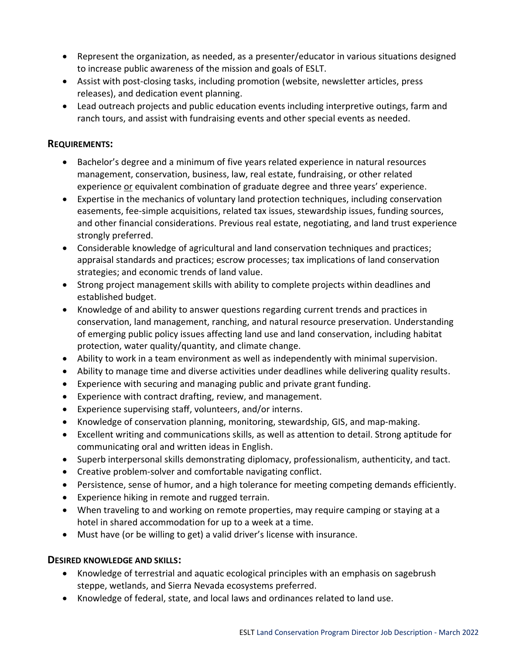- Represent the organization, as needed, as a presenter/educator in various situations designed to increase public awareness of the mission and goals of ESLT.
- Assist with post-closing tasks, including promotion (website, newsletter articles, press releases), and dedication event planning.
- Lead outreach projects and public education events including interpretive outings, farm and ranch tours, and assist with fundraising events and other special events as needed.

## **REQUIREMENTS:**

- Bachelor's degree and a minimum of five years related experience in natural resources management, conservation, business, law, real estate, fundraising, or other related experience or equivalent combination of graduate degree and three years' experience.
- Expertise in the mechanics of voluntary land protection techniques, including conservation easements, fee-simple acquisitions, related tax issues, stewardship issues, funding sources, and other financial considerations. Previous real estate, negotiating, and land trust experience strongly preferred.
- Considerable knowledge of agricultural and land conservation techniques and practices; appraisal standards and practices; escrow processes; tax implications of land conservation strategies; and economic trends of land value.
- Strong project management skills with ability to complete projects within deadlines and established budget.
- Knowledge of and ability to answer questions regarding current trends and practices in conservation, land management, ranching, and natural resource preservation. Understanding of emerging public policy issues affecting land use and land conservation, including habitat protection, water quality/quantity, and climate change.
- Ability to work in a team environment as well as independently with minimal supervision.
- Ability to manage time and diverse activities under deadlines while delivering quality results.
- Experience with securing and managing public and private grant funding.
- Experience with contract drafting, review, and management.
- Experience supervising staff, volunteers, and/or interns.
- Knowledge of conservation planning, monitoring, stewardship, GIS, and map-making.
- Excellent writing and communications skills, as well as attention to detail. Strong aptitude for communicating oral and written ideas in English.
- Superb interpersonal skills demonstrating diplomacy, professionalism, authenticity, and tact.
- Creative problem-solver and comfortable navigating conflict.
- Persistence, sense of humor, and a high tolerance for meeting competing demands efficiently.
- Experience hiking in remote and rugged terrain.
- When traveling to and working on remote properties, may require camping or staying at a hotel in shared accommodation for up to a week at a time.
- Must have (or be willing to get) a valid driver's license with insurance.

## **DESIRED KNOWLEDGE AND SKILLS:**

- Knowledge of terrestrial and aquatic ecological principles with an emphasis on sagebrush steppe, wetlands, and Sierra Nevada ecosystems preferred.
- Knowledge of federal, state, and local laws and ordinances related to land use.